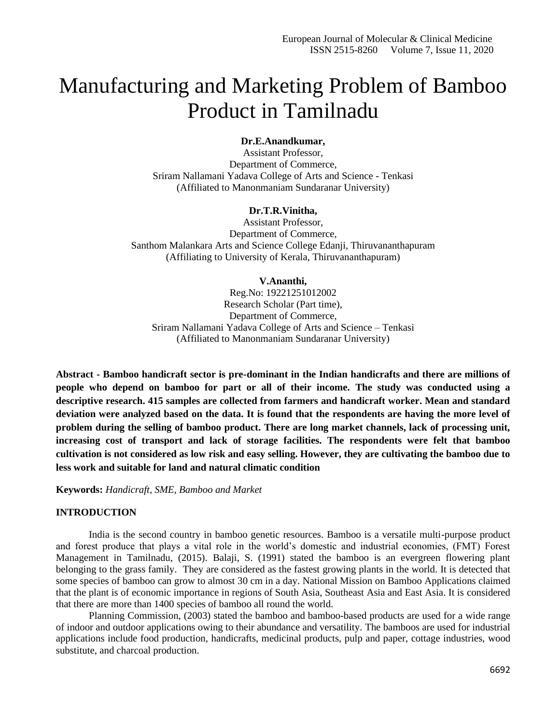# Manufacturing and Marketing Problem of Bamboo Product in Tamilnadu

## **Dr.E.Anandkumar,**

Assistant Professor, Department of Commerce, Sriram Nallamani Yadava College of Arts and Science - Tenkasi (Affiliated to Manonmaniam Sundaranar University)

### **Dr.T.R.Vinitha,**

Assistant Professor, Department of Commerce, Santhom Malankara Arts and Science College Edanji, Thiruvananthapuram (Affiliating to University of Kerala, Thiruvananthapuram)

#### **V.Ananthi,**

Reg.No: 19221251012002 Research Scholar (Part time), Department of Commerce, Sriram Nallamani Yadava College of Arts and Science – Tenkasi (Affiliated to Manonmaniam Sundaranar University)

**Abstract - Bamboo handicraft sector is pre-dominant in the Indian handicrafts and there are millions of people who depend on bamboo for part or all of their income. The study was conducted using a descriptive research. 415 samples are collected from farmers and handicraft worker. Mean and standard deviation were analyzed based on the data. It is found that the respondents are having the more level of problem during the selling of bamboo product. There are long market channels, lack of processing unit, increasing cost of transport and lack of storage facilities. The respondents were felt that bamboo cultivation is not considered as low risk and easy selling. However, they are cultivating the bamboo due to less work and suitable for land and natural climatic condition**

**Keywords:** *Handicraft, SME, Bamboo and Market*

# **INTRODUCTION**

India is the second country in bamboo genetic resources. Bamboo is a versatile multi-purpose product and forest produce that plays a vital role in the world's domestic and industrial economies, (FMT) Forest Management in Tamilnadu, (2015). Balaji, S. (1991) stated the bamboo is an evergreen flowering plant belonging to the grass family. They are considered as the fastest growing plants in the world. It is detected that some species of bamboo can grow to almost 30 cm in a day. National Mission on Bamboo Applications claimed that the plant is of economic importance in regions of South Asia, Southeast Asia and East Asia. It is considered that there are more than 1400 species of bamboo all round the world.

Planning Commission, (2003) stated the bamboo and bamboo-based products are used for a wide range of indoor and outdoor applications owing to their abundance and versatility. The bamboos are used for industrial applications include food production, handicrafts, medicinal products, pulp and paper, cottage industries, wood substitute, and charcoal production.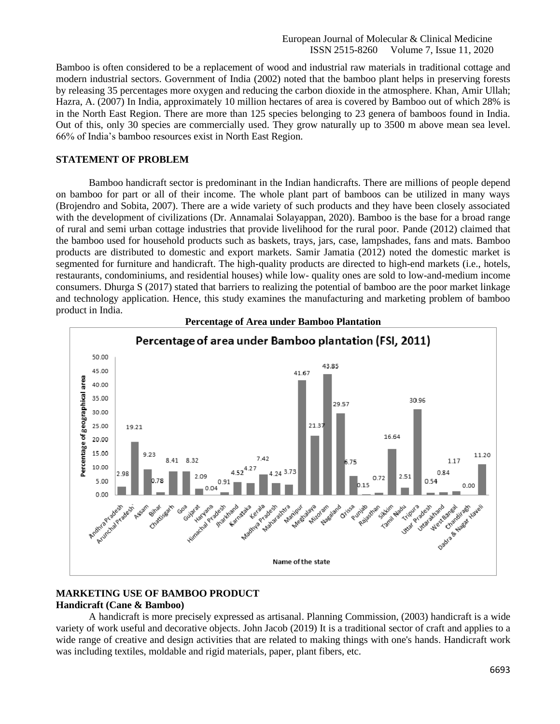Bamboo is often considered to be a replacement of wood and industrial raw materials in traditional cottage and modern industrial sectors. Government of India (2002) noted that the bamboo plant helps in preserving forests by releasing 35 percentages more oxygen and reducing the carbon dioxide in the atmosphere. Khan, Amir Ullah; Hazra, A. (2007) In India, approximately 10 million hectares of area is covered by Bamboo out of which 28% is in the North East Region. There are more than 125 species belonging to 23 genera of bamboos found in India. Out of this, only 30 species are commercially used. They grow naturally up to 3500 m above mean sea level. 66% of India's bamboo resources exist in North East Region.

#### **STATEMENT OF PROBLEM**

Bamboo handicraft sector is predominant in the Indian handicrafts. There are millions of people depend on bamboo for part or all of their income. The whole plant part of bamboos can be utilized in many ways (Brojendro and Sobita, 2007). There are a wide variety of such products and they have been closely associated with the development of civilizations (Dr. Annamalai Solayappan, 2020). Bamboo is the base for a broad range of rural and semi urban cottage industries that provide livelihood for the rural poor. Pande (2012) claimed that the bamboo used for household products such as baskets, trays, jars, case, lampshades, fans and mats. Bamboo products are distributed to domestic and export markets. Samir Jamatia (2012) noted the domestic market is segmented for furniture and handicraft. The high-quality products are directed to high-end markets (i.e., hotels, restaurants, condominiums, and residential houses) while low- quality ones are sold to low-and-medium income consumers. Dhurga S (2017) stated that barriers to realizing the potential of bamboo are the poor market linkage and technology application. Hence, this study examines the manufacturing and marketing problem of bamboo product in India.



**Percentage of Area under Bamboo Plantation**

# **MARKETING USE OF BAMBOO PRODUCT Handicraft (Cane & Bamboo)**

A handicraft is more precisely expressed as artisanal. Planning Commission, (2003) handicraft is a wide variety of work useful and decorative objects. John Jacob (2019) It is a traditional sector of craft and applies to a wide range of creative and design activities that are related to making things with one's hands. Handicraft work was including textiles, moldable and rigid materials, paper, plant fibers, etc.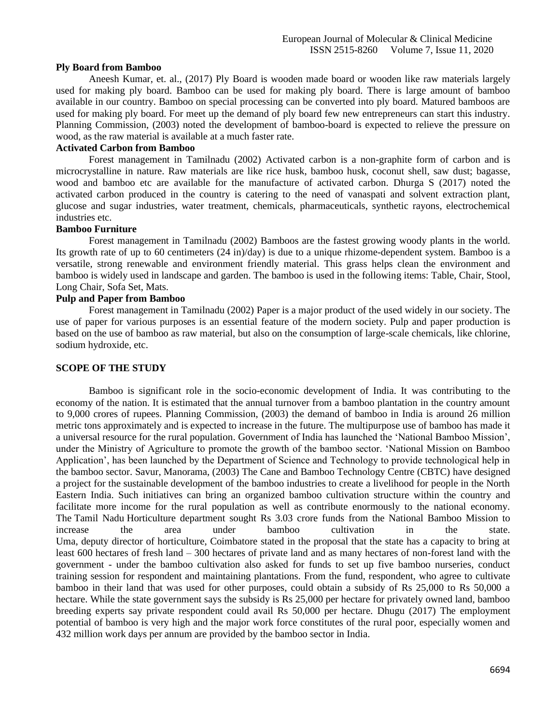#### **Ply Board from Bamboo**

Aneesh Kumar, et. al., (2017) Ply Board is wooden made board or wooden like raw materials largely used for making ply board. Bamboo can be used for making ply board. There is large amount of bamboo available in our country. Bamboo on special processing can be converted into ply board. Matured bamboos are used for making ply board. For meet up the demand of ply board few new entrepreneurs can start this industry. Planning Commission, (2003) noted the development of bamboo-board is expected to relieve the pressure on wood, as the raw material is available at a much faster rate.

#### **Activated Carbon from Bamboo**

Forest management in Tamilnadu (2002) Activated carbon is a non-graphite form of carbon and is microcrystalline in nature. Raw materials are like rice husk, bamboo husk, coconut shell, saw dust; bagasse, wood and bamboo etc are available for the manufacture of activated carbon. Dhurga S (2017) noted the activated carbon produced in the country is catering to the need of vanaspati and solvent extraction plant, glucose and sugar industries, water treatment, chemicals, pharmaceuticals, synthetic rayons, electrochemical industries etc.

#### **Bamboo Furniture**

Forest management in Tamilnadu (2002) Bamboos are the fastest growing woody plants in the world. Its growth rate of up to 60 centimeters (24 in)/day) is due to a unique rhizome-dependent system. Bamboo is a versatile, strong renewable and environment friendly material. This grass helps clean the environment and bamboo is widely used in landscape and garden. The bamboo is used in the following items: Table, Chair, Stool, Long Chair, Sofa Set, Mats.

#### **Pulp and Paper from Bamboo**

Forest management in Tamilnadu (2002) Paper is a major product of the used widely in our society. The use of paper for various purposes is an essential feature of the modern society. Pulp and paper production is based on the use of bamboo as raw material, but also on the consumption of large-scale chemicals, like chlorine, sodium hydroxide, etc.

#### **SCOPE OF THE STUDY**

Bamboo is significant role in the socio-economic development of India. It was contributing to the economy of the nation. It is estimated that the annual turnover from a bamboo plantation in the country amount to 9,000 crores of rupees. Planning Commission, (2003) the demand of bamboo in India is around 26 million metric tons approximately and is expected to increase in the future. The multipurpose use of bamboo has made it a universal resource for the rural population. Government of India has launched the 'National Bamboo Mission', under the Ministry of Agriculture to promote the growth of the bamboo sector. 'National Mission on Bamboo Application', has been launched by the Department of Science and Technology to provide technological help in the bamboo sector. Savur, Manorama, (2003) The Cane and Bamboo Technology Centre (CBTC) have designed a project for the sustainable development of the bamboo industries to create a livelihood for people in the North Eastern India. Such initiatives can bring an organized bamboo cultivation structure within the country and facilitate more income for the rural population as well as contribute enormously to the national economy. The [Tamil Nadu](https://timesofindia.indiatimes.com/india/tamil-nadu) Horticulture department sought Rs 3.03 crore funds from the National Bamboo Mission to increase the area under bamboo cultivation in the state. Uma, deputy director of horticulture, Coimbatore stated in the proposal that the state has a capacity to bring at least 600 hectares of fresh land – 300 hectares of private land and as many hectares of non-forest land with the government - under the bamboo cultivation also asked for funds to set up five bamboo nurseries, conduct training session for respondent and maintaining plantations. From the fund, respondent, who agree to cultivate bamboo in their land that was used for other purposes, could obtain a subsidy of Rs 25,000 to Rs 50,000 a hectare. While the state government says the subsidy is Rs 25,000 per hectare for privately owned land, bamboo breeding experts say private respondent could avail Rs 50,000 per hectare. Dhugu (2017) The employment potential of bamboo is very high and the major work force constitutes of the rural poor, especially women and 432 million work days per annum are provided by the bamboo sector in India.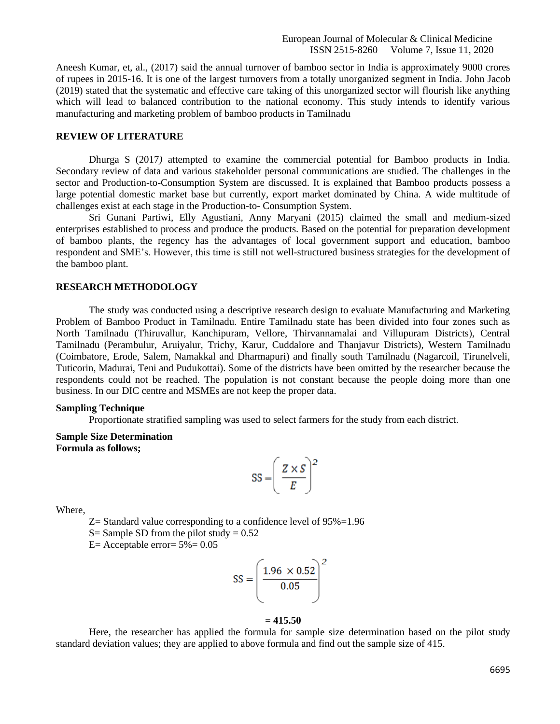Aneesh Kumar, et, al., (2017) said the annual turnover of bamboo sector in India is approximately 9000 crores of rupees in 2015-16. It is one of the largest turnovers from a totally unorganized segment in India. John Jacob (2019) stated that the systematic and effective care taking of this unorganized sector will flourish like anything which will lead to balanced contribution to the national economy. This study intends to identify various manufacturing and marketing problem of bamboo products in Tamilnadu

## **REVIEW OF LITERATURE**

Dhurga S (2017*)* attempted to examine the commercial potential for Bamboo products in India. Secondary review of data and various stakeholder personal communications are studied. The challenges in the sector and Production-to-Consumption System are discussed. It is explained that Bamboo products possess a large potential domestic market base but currently, export market dominated by China. A wide multitude of challenges exist at each stage in the Production-to- Consumption System.

Sri Gunani Partiwi, Elly Agustiani, Anny Maryani (2015) claimed the small and medium-sized enterprises established to process and produce the products. Based on the potential for preparation development of bamboo plants, the regency has the advantages of local government support and education, bamboo respondent and SME's. However, this time is still not well-structured business strategies for the development of the bamboo plant.

# **RESEARCH METHODOLOGY**

The study was conducted using a descriptive research design to evaluate Manufacturing and Marketing Problem of Bamboo Product in Tamilnadu. Entire Tamilnadu state has been divided into four zones such as North Tamilnadu (Thiruvallur, Kanchipuram, Vellore, Thirvannamalai and Villupuram Districts), Central Tamilnadu (Perambulur, Aruiyalur, Trichy, Karur, Cuddalore and Thanjavur Districts), Western Tamilnadu (Coimbatore, Erode, Salem, Namakkal and Dharmapuri) and finally south Tamilnadu (Nagarcoil, Tirunelveli, Tuticorin, Madurai, Teni and Pudukottai). Some of the districts have been omitted by the researcher because the respondents could not be reached. The population is not constant because the people doing more than one business. In our DIC centre and MSMEs are not keep the proper data.

#### **Sampling Technique**

Proportionate stratified sampling was used to select farmers for the study from each district.

**Sample Size Determination Formula as follows;**

$$
SS = \left(\frac{Z \times S}{E}\right)^2
$$

Where,

Z= Standard value corresponding to a confidence level of 95%=1.96

S = Sample SD from the pilot study =  $0.52$ 

 $E=$  Acceptable error=  $5\%$  = 0.05

$$
SS = \left(\frac{1.96 \times 0.52}{0.05}\right)^2
$$

#### **= 415.50**

Here, the researcher has applied the formula for sample size determination based on the pilot study standard deviation values; they are applied to above formula and find out the sample size of 415.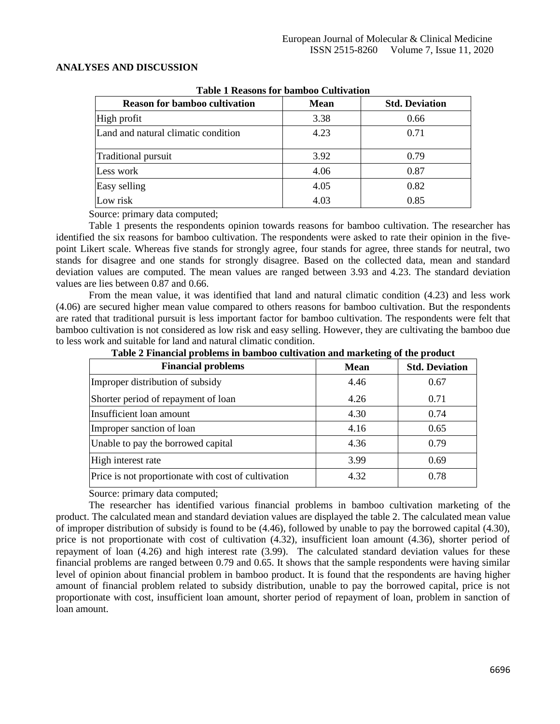## **ANALYSES AND DISCUSSION**

| Table T Keasons for bannooo Cultivation |                       |  |  |
|-----------------------------------------|-----------------------|--|--|
| <b>Mean</b>                             | <b>Std. Deviation</b> |  |  |
| 3.38                                    | 0.66                  |  |  |
| 4.23                                    | 0.71                  |  |  |
| 3.92                                    | 0.79                  |  |  |
| 4.06                                    | 0.87                  |  |  |
| 4.05                                    | 0.82                  |  |  |
| 4.03                                    | 0.85                  |  |  |
|                                         |                       |  |  |

# **Table 1 Reasons for bamboo Cultivation**

Source: primary data computed;

Table 1 presents the respondents opinion towards reasons for bamboo cultivation. The researcher has identified the six reasons for bamboo cultivation. The respondents were asked to rate their opinion in the fivepoint Likert scale. Whereas five stands for strongly agree, four stands for agree, three stands for neutral, two stands for disagree and one stands for strongly disagree. Based on the collected data, mean and standard deviation values are computed. The mean values are ranged between 3.93 and 4.23. The standard deviation values are lies between 0.87 and 0.66.

From the mean value, it was identified that land and natural climatic condition (4.23) and less work (4.06) are secured higher mean value compared to others reasons for bamboo cultivation. But the respondents are rated that traditional pursuit is less important factor for bamboo cultivation. The respondents were felt that bamboo cultivation is not considered as low risk and easy selling. However, they are cultivating the bamboo due to less work and suitable for land and natural climatic condition.

| <b>Financial problems</b>                           | <b>Mean</b> | <b>Std. Deviation</b> |
|-----------------------------------------------------|-------------|-----------------------|
| Improper distribution of subsidy                    | 4.46        | 0.67                  |
| Shorter period of repayment of loan                 | 4.26        | 0.71                  |
| Insufficient loan amount                            | 4.30        | 0.74                  |
| Improper sanction of loan                           | 4.16        | 0.65                  |
| Unable to pay the borrowed capital                  | 4.36        | 0.79                  |
| High interest rate                                  | 3.99        | 0.69                  |
| Price is not proportionate with cost of cultivation | 4.32        | 0.78                  |

**Table 2 Financial problems in bamboo cultivation and marketing of the product**

Source: primary data computed;

The researcher has identified various financial problems in bamboo cultivation marketing of the product. The calculated mean and standard deviation values are displayed the table 2. The calculated mean value of improper distribution of subsidy is found to be (4.46), followed by unable to pay the borrowed capital (4.30), price is not proportionate with cost of cultivation (4.32), insufficient loan amount (4.36), shorter period of repayment of loan (4.26) and high interest rate (3.99). The calculated standard deviation values for these financial problems are ranged between 0.79 and 0.65. It shows that the sample respondents were having similar level of opinion about financial problem in bamboo product. It is found that the respondents are having higher amount of financial problem related to subsidy distribution, unable to pay the borrowed capital, price is not proportionate with cost, insufficient loan amount, shorter period of repayment of loan, problem in sanction of loan amount.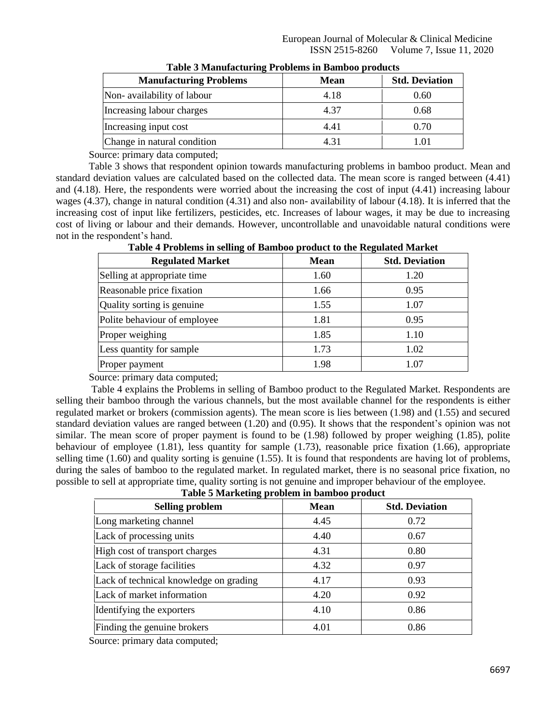| Table 5 Mahalactaring Trobicins in Dannoo products |             |                       |  |
|----------------------------------------------------|-------------|-----------------------|--|
| <b>Manufacturing Problems</b>                      | <b>Mean</b> | <b>Std. Deviation</b> |  |
| Non-availability of labour                         | 4.18        | 0.60                  |  |
| Increasing labour charges                          | 4.37        | 0.68                  |  |
| Increasing input cost                              | 4.41        | 0.70                  |  |
| Change in natural condition                        | 4.31        | 1.01                  |  |

| <b>Table 3 Manufacturing Problems in Bamboo products</b> |  |  |
|----------------------------------------------------------|--|--|
|                                                          |  |  |

Source: primary data computed;

Table 3 shows that respondent opinion towards manufacturing problems in bamboo product. Mean and standard deviation values are calculated based on the collected data. The mean score is ranged between (4.41) and (4.18). Here, the respondents were worried about the increasing the cost of input (4.41) increasing labour wages (4.37), change in natural condition (4.31) and also non- availability of labour (4.18). It is inferred that the increasing cost of input like fertilizers, pesticides, etc. Increases of labour wages, it may be due to increasing cost of living or labour and their demands. However, uncontrollable and unavoidable natural conditions were not in the respondent's hand.

| <b>Regulated Market</b>      | <b>Mean</b> | <b>Std. Deviation</b> |
|------------------------------|-------------|-----------------------|
| Selling at appropriate time  | 1.60        | 1.20                  |
| Reasonable price fixation    | 1.66        | 0.95                  |
| Quality sorting is genuine   | 1.55        | 1.07                  |
| Polite behaviour of employee | 1.81        | 0.95                  |
| Proper weighing              | 1.85        | 1.10                  |
| Less quantity for sample     | 1.73        | 1.02                  |
| Proper payment               | 1.98        | 1.07                  |

**Table 4 Problems in selling of Bamboo product to the Regulated Market**

Source: primary data computed;

Table 4 explains the Problems in selling of Bamboo product to the Regulated Market. Respondents are selling their bamboo through the various channels, but the most available channel for the respondents is either regulated market or brokers (commission agents). The mean score is lies between (1.98) and (1.55) and secured standard deviation values are ranged between (1.20) and (0.95). It shows that the respondent's opinion was not similar. The mean score of proper payment is found to be (1.98) followed by proper weighing (1.85), polite behaviour of employee (1.81), less quantity for sample (1.73), reasonable price fixation (1.66), appropriate selling time (1.60) and quality sorting is genuine (1.55). It is found that respondents are having lot of problems, during the sales of bamboo to the regulated market. In regulated market, there is no seasonal price fixation, no possible to sell at appropriate time, quality sorting is not genuine and improper behaviour of the employee.

| <b>Selling problem</b>                 | <b>Mean</b> | <b>Std. Deviation</b> |
|----------------------------------------|-------------|-----------------------|
| Long marketing channel                 | 4.45        | 0.72                  |
| Lack of processing units               | 4.40        | 0.67                  |
| High cost of transport charges         | 4.31        | 0.80                  |
| Lack of storage facilities             | 4.32        | 0.97                  |
| Lack of technical knowledge on grading | 4.17        | 0.93                  |
| Lack of market information             | 4.20        | 0.92                  |
| Identifying the exporters              | 4.10        | 0.86                  |
| Finding the genuine brokers            | 4.01        | 0.86                  |

Source: primary data computed;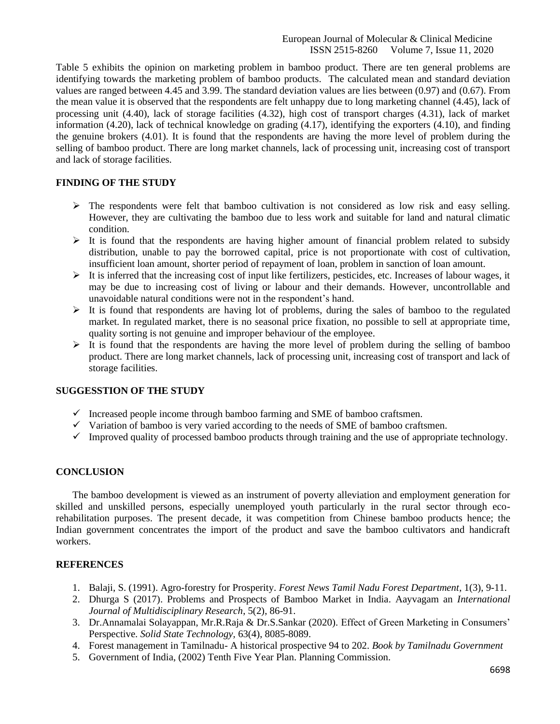Table 5 exhibits the opinion on marketing problem in bamboo product. There are ten general problems are identifying towards the marketing problem of bamboo products. The calculated mean and standard deviation values are ranged between 4.45 and 3.99. The standard deviation values are lies between (0.97) and (0.67). From the mean value it is observed that the respondents are felt unhappy due to long marketing channel (4.45), lack of processing unit (4.40), lack of storage facilities (4.32), high cost of transport charges (4.31), lack of market information (4.20), lack of technical knowledge on grading (4.17), identifying the exporters (4.10), and finding the genuine brokers (4.01). It is found that the respondents are having the more level of problem during the selling of bamboo product. There are long market channels, lack of processing unit, increasing cost of transport and lack of storage facilities.

# **FINDING OF THE STUDY**

- ➢ The respondents were felt that bamboo cultivation is not considered as low risk and easy selling. However, they are cultivating the bamboo due to less work and suitable for land and natural climatic condition.
- ➢ It is found that the respondents are having higher amount of financial problem related to subsidy distribution, unable to pay the borrowed capital, price is not proportionate with cost of cultivation, insufficient loan amount, shorter period of repayment of loan, problem in sanction of loan amount.
- ➢ It is inferred that the increasing cost of input like fertilizers, pesticides, etc. Increases of labour wages, it may be due to increasing cost of living or labour and their demands. However, uncontrollable and unavoidable natural conditions were not in the respondent's hand.
- $\triangleright$  It is found that respondents are having lot of problems, during the sales of bamboo to the regulated market. In regulated market, there is no seasonal price fixation, no possible to sell at appropriate time, quality sorting is not genuine and improper behaviour of the employee.
- $\triangleright$  It is found that the respondents are having the more level of problem during the selling of bamboo product. There are long market channels, lack of processing unit, increasing cost of transport and lack of storage facilities.

# **SUGGESSTION OF THE STUDY**

- $\checkmark$  Increased people income through bamboo farming and SME of bamboo craftsmen.
- $\checkmark$  Variation of bamboo is very varied according to the needs of SME of bamboo craftsmen.
- ✓ Improved quality of processed bamboo products through training and the use of appropriate technology.

# **CONCLUSION**

The bamboo development is viewed as an instrument of poverty alleviation and employment generation for skilled and unskilled persons, especially unemployed youth particularly in the rural sector through ecorehabilitation purposes. The present decade, it was competition from Chinese bamboo products hence; the Indian government concentrates the import of the product and save the bamboo cultivators and handicraft workers.

# **REFERENCES**

- 1. Balaji, S. (1991). Agro-forestry for Prosperity. *Forest News Tamil Nadu Forest Department*, 1(3), 9-11.
- 2. Dhurga S (2017). Problems and Prospects of Bamboo Market in India. Aayvagam an *International Journal of Multidisciplinary Research*, 5(2), 86-91.
- 3. Dr.Annamalai Solayappan, Mr.R.Raja & Dr.S.Sankar (2020). Effect of Green Marketing in Consumers' Perspective. *Solid State Technology,* 63(4), 8085-8089.
- 4. Forest management in Tamilnadu- A historical prospective 94 to 202. *Book by Tamilnadu Government*
- 5. Government of India, (2002) Tenth Five Year Plan. Planning Commission.